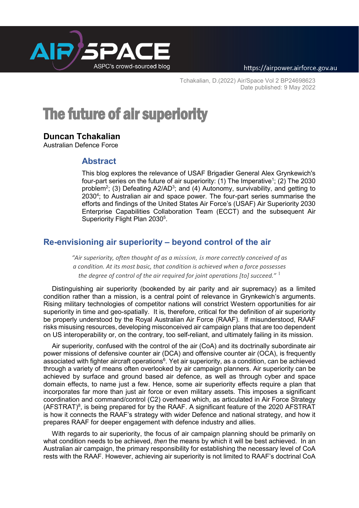

Tchakalian, D.(2022) Air/Space Vol 2 BP24698623 Date published: 9 May 2022

# The future of air superiority

## **Duncan Tchakalian**

Australian Defence Force

## **Abstract**

This blog explores the relevance of USAF Brigadier General Alex Grynkewich's four-part series on the future of air superiority: (1) The Imperative<sup>1</sup>; (2) The 2030 problem<sup>2</sup>; (3) Defeating A2/AD<sup>3</sup>; and (4) Autonomy, survivability, and getting to 2030<sup>4</sup>; to Australian air and space power. The four-part series summarise the efforts and findings of the United States Air Force's (USAF) Air Superiority 2030 Enterprise Capabilities Collaboration Team (ECCT) and the subsequent Air Superiority Flight Plan 2030<sup>5</sup>.

## **Re-envisioning air superiority – beyond control of the air**

*"Air superiority, often thought of as a mission, is more correctly conceived of as a condition. At its most basic, that condition is achieved when a force possesses the degree of control of the air required for joint operations [to] succeed."* <sup>1</sup>

Distinguishing air superiority (bookended by air parity and air supremacy) as a limited condition rather than a mission, is a central point of relevance in Grynkewich's arguments. Rising military technologies of competitor nations will constrict Western opportunities for air superiority in time and geo-spatially. It is, therefore, critical for the definition of air superiority be properly understood by the Royal Australian Air Force (RAAF). If misunderstood, RAAF risks misusing resources, developing misconceived air campaign plans that are too dependent on US interoperability or, on the contrary, too self-reliant, and ultimately failing in its mission.

Air superiority, confused with the control of the air (CoA) and its doctrinally subordinate air power missions of defensive counter air (DCA) and offensive counter air (OCA), is frequently associated with fighter aircraft operations<sup>6</sup>. Yet air superiority, as a condition, can be achieved through a variety of means often overlooked by air campaign planners. Air superiority can be achieved by surface and ground based air defence, as well as through cyber and space domain effects, to name just a few. Hence, some air superiority effects require a plan that incorporates far more than just air force or even military assets. This imposes a significant coordination and command/control (C2) overhead which, as articulated in Air Force Strategy  $(AFSTRAT)^8$ , is being prepared for by the RAAF. A significant feature of the 2020 AFSTRAT is how it connects the RAAF's strategy with wider Defence and national strategy, and how it prepares RAAF for deeper engagement with defence industry and allies.

With regards to air superiority, the focus of air campaign planning should be primarily on what condition needs to be achieved, *then* the means by which it will be best achieved. In an Australian air campaign, the primary responsibility for establishing the necessary level of CoA rests with the RAAF. However, achieving air superiority is not limited to RAAF's doctrinal CoA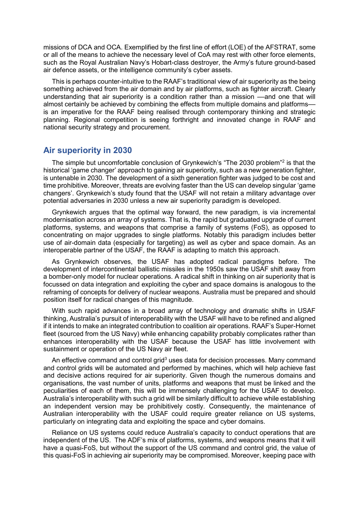missions of DCA and OCA. Exemplified by the first line of effort (LOE) of the AFSTRAT, some or all of the means to achieve the necessary level of CoA may rest with other force elements, such as the Royal Australian Navy's Hobart-class destroyer, the Army's future ground-based air defence assets, or the intelligence community's cyber assets.

This is perhaps counter-intuitive to the RAAF's traditional view of air superiority as the being something achieved from the air domain and by air platforms, such as fighter aircraft. Clearly understanding that air superiority is a condition rather than a mission ––and one that will almost certainly be achieved by combining the effects from multiple domains and platforms is an imperative for the RAAF being realised through contemporary thinking and strategic planning. Regional competition is seeing forthright and innovated change in RAAF and national security strategy and procurement.

#### **Air superiority in 2030**

The simple but uncomfortable conclusion of Grynkewich's "The 2030 problem"2 is that the historical 'game changer' approach to gaining air superiority, such as a new generation fighter, is untenable in 2030. The development of a sixth generation fighter was judged to be cost and time prohibitive. Moreover, threats are evolving faster than the US can develop singular 'game changers'. Grynkewich's study found that the USAF will not retain a military advantage over potential adversaries in 2030 unless a new air superiority paradigm is developed.

Grynkewich argues that the optimal way forward, the new paradigm, is via incremental modernisation across an array of systems. That is, the rapid but graduated upgrade of current platforms, systems, and weapons that comprise a family of systems (FoS), as opposed to concentrating on major upgrades to single platforms. Notably this paradigm includes better use of air-domain data (especially for targeting) as well as cyber and space domain. As an interoperable partner of the USAF, the RAAF is adapting to match this approach.

As Grynkewich observes, the USAF has adopted radical paradigms before. The development of intercontinental ballistic missiles in the 1950s saw the USAF shift away from a bomber-only model for nuclear operations. A radical shift in thinking on air superiority that is focussed on data integration and exploiting the cyber and space domains is analogous to the reframing of concepts for delivery of nuclear weapons. Australia must be prepared and should position itself for radical changes of this magnitude.

With such rapid advances in a broad array of technology and dramatic shifts in USAF thinking, Australia's pursuit of interoperability with the USAF will have to be refined and aligned if it intends to make an integrated contribution to coalition air operations. RAAF's Super-Hornet fleet (sourced from the US Navy) while enhancing capability probably complicates rather than enhances interoperability with the USAF because the USAF has little involvement with sustainment or operation of the US Navy air fleet.

An effective command and control grid<sup>3</sup> uses data for decision processes. Many command and control grids will be automated and performed by machines, which will help achieve fast and decisive actions required for air superiority. Given though the numerous domains and organisations, the vast number of units, platforms and weapons that must be linked and the peculiarities of each of them, this will be immensely challenging for the USAF to develop. Australia's interoperability with such a grid will be similarly difficult to achieve while establishing an independent version may be prohibitively costly. Consequently, the maintenance of Australian interoperability with the USAF could require greater reliance on US systems, particularly on integrating data and exploiting the space and cyber domains.

Reliance on US systems could reduce Australia's capacity to conduct operations that are independent of the US. The ADF's mix of platforms, systems, and weapons means that it will have a quasi-FoS, but without the support of the US command and control grid, the value of this quasi-FoS in achieving air superiority may be compromised. Moreover, keeping pace with